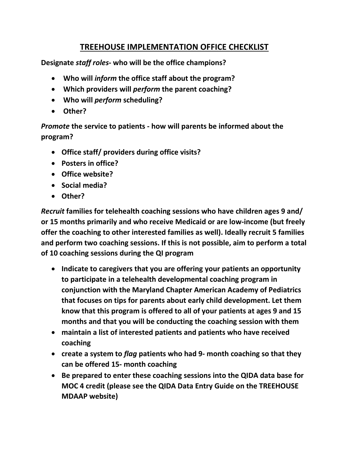## **TREEHOUSE IMPLEMENTATION OFFICE CHECKLIST**

**Designate** *staff roles***- who will be the office champions?**

- **Who will** *inform* **the office staff about the program?**
- **Which providers will** *perform* **the parent coaching?**
- **Who will** *perform* **scheduling?**
- **Other?**

*Promote* **the service to patients - how will parents be informed about the program?**

- **Office staff/ providers during office visits?**
- **Posters in office?**
- **Office website?**
- **Social media?**
- **Other?**

*Recruit* **families for telehealth coaching sessions who have children ages 9 and/ or 15 months primarily and who receive Medicaid or are low-income (but freely offer the coaching to other interested families as well). Ideally recruit 5 families and perform two coaching sessions. If this is not possible, aim to perform a total of 10 coaching sessions during the QI program**

- **Indicate to caregivers that you are offering your patients an opportunity to participate in a telehealth developmental coaching program in conjunction with the Maryland Chapter American Academy of Pediatrics that focuses on tips for parents about early child development. Let them know that this program is offered to all of your patients at ages 9 and 15 months and that you will be conducting the coaching session with them**
- **maintain a list of interested patients and patients who have received coaching**
- **create a system to** *flag* **patients who had 9- month coaching so that they can be offered 15- month coaching**
- **Be prepared to enter these coaching sessions into the QIDA data base for MOC 4 credit (please see the QIDA Data Entry Guide on the TREEHOUSE MDAAP website)**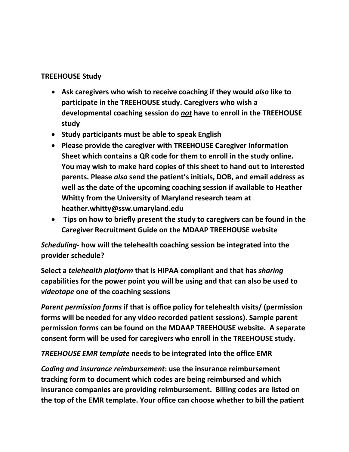## **TREEHOUSE Study**

- **Ask caregivers who wish to receive coaching if they would** *also* **like to participate in the TREEHOUSE study. Caregivers who wish a developmental coaching session do** *not* **have to enroll in the TREEHOUSE study**
- **Study participants must be able to speak English**
- **Please provide the caregiver with TREEHOUSE Caregiver Information Sheet which contains a QR code for them to enroll in the study online. You may wish to make hard copies of this sheet to hand out to interested parents. Please** *also* **send the patient's initials, DOB, and email address as well as the date of the upcoming coaching session if available to Heather Whitty from the University of Maryland research team at heather.whitty@ssw.umaryland.edu**
- **Tips on how to briefly present the study to caregivers can be found in the Caregiver Recruitment Guide on the MDAAP TREEHOUSE website**

*Scheduling-* **how will the telehealth coaching session be integrated into the provider schedule?**

**Select a** *telehealth platform* **that is HIPAA compliant and that has** *sharing*  **capabilities for the power point you will be using and that can also be used to**  *videotape* **one of the coaching sessions**

*Parent permission forms* **if that is office policy for telehealth visits/ (permission forms will be needed for any video recorded patient sessions). Sample parent permission forms can be found on the MDAAP TREEHOUSE website. A separate consent form will be used for caregivers who enroll in the TREEHOUSE study.**

*TREEHOUSE EMR template* **needs to be integrated into the office EMR**

*Coding and insurance reimbursement***: use the insurance reimbursement tracking form to document which codes are being reimbursed and which insurance companies are providing reimbursement. Billing codes are listed on the top of the EMR template. Your office can choose whether to bill the patient**